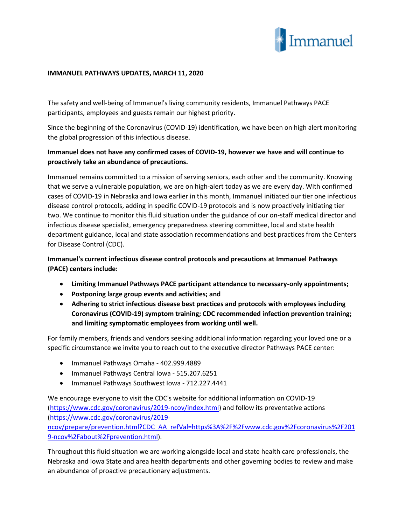

## **IMMANUEL PATHWAYS UPDATES, MARCH 11, 2020**

The safety and well-being of Immanuel's living community residents, Immanuel Pathways PACE participants, employees and guests remain our highest priority.

Since the beginning of the Coronavirus (COVID-19) identification, we have been on high alert monitoring the global progression of this infectious disease.

## **Immanuel does not have any confirmed cases of COVID-19, however we have and will continue to proactively take an abundance of precautions.**

Immanuel remains committed to a mission of serving seniors, each other and the community. Knowing that we serve a vulnerable population, we are on high-alert today as we are every day. With confirmed cases of COVID-19 in Nebraska and Iowa earlier in this month, Immanuel initiated our tier one infectious disease control protocols, adding in specific COVID-19 protocols and is now proactively initiating tier two. We continue to monitor this fluid situation under the guidance of our on-staff medical director and infectious disease specialist, emergency preparedness steering committee, local and state health department guidance, local and state association recommendations and best practices from the Centers for Disease Control (CDC).

**Immanuel's current infectious disease control protocols and precautions at Immanuel Pathways (PACE) centers include:**

- **Limiting Immanuel Pathways PACE participant attendance to necessary-only appointments;**
- **Postponing large group events and activities; and**
- **Adhering to strict infectious disease best practices and protocols with employees including Coronavirus (COVID-19) symptom training; CDC recommended infection prevention training; and limiting symptomatic employees from working until well.**

For family members, friends and vendors seeking additional information regarding your loved one or a specific circumstance we invite you to reach out to the executive director Pathways PACE center:

- Immanuel Pathways Omaha 402.999.4889
- Immanuel Pathways Central Iowa 515.207.6251
- Immanuel Pathways Southwest Iowa 712.227.4441

We encourage everyone to visit the CDC's website for additional information on COVID-19 [\(https://www.cdc.gov/coronavirus/2019-ncov/index.html\)](https://www.cdc.gov/coronavirus/2019-ncov/index.html) and follow its preventative actions [\(https://www.cdc.gov/coronavirus/2019](https://www.cdc.gov/coronavirus/2019-ncov/prepare/prevention.html?CDC_AA_refVal=https%3A%2F%2Fwww.cdc.gov%2Fcoronavirus%2F2019-ncov%2Fabout%2Fprevention.html) [ncov/prepare/prevention.html?CDC\\_AA\\_refVal=https%3A%2F%2Fwww.cdc.gov%2Fcoronavirus%2F201](https://www.cdc.gov/coronavirus/2019-ncov/prepare/prevention.html?CDC_AA_refVal=https%3A%2F%2Fwww.cdc.gov%2Fcoronavirus%2F2019-ncov%2Fabout%2Fprevention.html) [9-ncov%2Fabout%2Fprevention.html\)](https://www.cdc.gov/coronavirus/2019-ncov/prepare/prevention.html?CDC_AA_refVal=https%3A%2F%2Fwww.cdc.gov%2Fcoronavirus%2F2019-ncov%2Fabout%2Fprevention.html).

Throughout this fluid situation we are working alongside local and state health care professionals, the Nebraska and Iowa State and area health departments and other governing bodies to review and make an abundance of proactive precautionary adjustments.